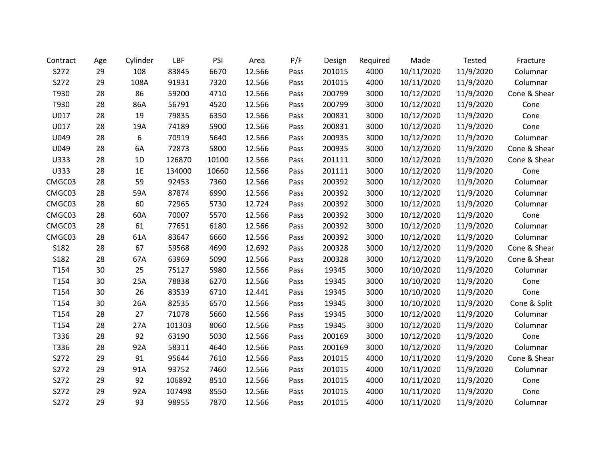| Contract | Age | Cylinder | <b>LBF</b> | PSI   | Area   | P/F  | Design | Required | Made       | Tested    | Fracture     |
|----------|-----|----------|------------|-------|--------|------|--------|----------|------------|-----------|--------------|
| S272     | 29  | 108      | 83845      | 6670  | 12.566 | Pass | 201015 | 4000     | 10/11/2020 | 11/9/2020 | Columnar     |
| S272     | 29  | 108A     | 91931      | 7320  | 12.566 | Pass | 201015 | 4000     | 10/11/2020 | 11/9/2020 | Columnar     |
| T930     | 28  | 86       | 59200      | 4710  | 12.566 | Pass | 200799 | 3000     | 10/12/2020 | 11/9/2020 | Cone & Shear |
| T930     | 28  | 86A      | 56791      | 4520  | 12.566 | Pass | 200799 | 3000     | 10/12/2020 | 11/9/2020 | Cone         |
| U017     | 28  | 19       | 79835      | 6350  | 12.566 | Pass | 200831 | 3000     | 10/12/2020 | 11/9/2020 | Cone         |
| U017     | 28  | 19A      | 74189      | 5900  | 12.566 | Pass | 200831 | 3000     | 10/12/2020 | 11/9/2020 | Cone         |
| U049     | 28  | 6        | 70919      | 5640  | 12.566 | Pass | 200935 | 3000     | 10/12/2020 | 11/9/2020 | Columnar     |
| U049     | 28  | 6A       | 72873      | 5800  | 12.566 | Pass | 200935 | 3000     | 10/12/2020 | 11/9/2020 | Cone & Shear |
| U333     | 28  | 1D       | 126870     | 10100 | 12.566 | Pass | 201111 | 3000     | 10/12/2020 | 11/9/2020 | Cone & Shear |
| U333     | 28  | 1E       | 134000     | 10660 | 12.566 | Pass | 201111 | 3000     | 10/12/2020 | 11/9/2020 | Cone         |
| CMGC03   | 28  | 59       | 92453      | 7360  | 12.566 | Pass | 200392 | 3000     | 10/12/2020 | 11/9/2020 | Columnar     |
| CMGC03   | 28  | 59A      | 87874      | 6990  | 12.566 | Pass | 200392 | 3000     | 10/12/2020 | 11/9/2020 | Columnar     |
| CMGC03   | 28  | 60       | 72965      | 5730  | 12.724 | Pass | 200392 | 3000     | 10/12/2020 | 11/9/2020 | Columnar     |
| CMGC03   | 28  | 60A      | 70007      | 5570  | 12.566 | Pass | 200392 | 3000     | 10/12/2020 | 11/9/2020 | Cone         |
| CMGC03   | 28  | 61       | 77651      | 6180  | 12.566 | Pass | 200392 | 3000     | 10/12/2020 | 11/9/2020 | Columnar     |
| CMGC03   | 28  | 61A      | 83647      | 6660  | 12.566 | Pass | 200392 | 3000     | 10/12/2020 | 11/9/2020 | Columnar     |
| S182     | 28  | 67       | 59568      | 4690  | 12.692 | Pass | 200328 | 3000     | 10/12/2020 | 11/9/2020 | Cone & Shear |
| S182     | 28  | 67A      | 63969      | 5090  | 12.566 | Pass | 200328 | 3000     | 10/12/2020 | 11/9/2020 | Cone & Shear |
| T154     | 30  | 25       | 75127      | 5980  | 12.566 | Pass | 19345  | 3000     | 10/10/2020 | 11/9/2020 | Columnar     |
| T154     | 30  | 25A      | 78838      | 6270  | 12.566 | Pass | 19345  | 3000     | 10/10/2020 | 11/9/2020 | Cone         |
| T154     | 30  | 26       | 83539      | 6710  | 12.441 | Pass | 19345  | 3000     | 10/10/2020 | 11/9/2020 | Cone         |
| T154     | 30  | 26A      | 82535      | 6570  | 12.566 | Pass | 19345  | 3000     | 10/10/2020 | 11/9/2020 | Cone & Split |
| T154     | 28  | 27       | 71078      | 5660  | 12.566 | Pass | 19345  | 3000     | 10/12/2020 | 11/9/2020 | Columnar     |
| T154     | 28  | 27A      | 101303     | 8060  | 12.566 | Pass | 19345  | 3000     | 10/12/2020 | 11/9/2020 | Columnar     |
| T336     | 28  | 92       | 63190      | 5030  | 12.566 | Pass | 200169 | 3000     | 10/12/2020 | 11/9/2020 | Cone         |
| T336     | 28  | 92A      | 58311      | 4640  | 12.566 | Pass | 200169 | 3000     | 10/12/2020 | 11/9/2020 | Columnar     |
| S272     | 29  | 91       | 95644      | 7610  | 12.566 | Pass | 201015 | 4000     | 10/11/2020 | 11/9/2020 | Cone & Shear |
| S272     | 29  | 91A      | 93752      | 7460  | 12.566 | Pass | 201015 | 4000     | 10/11/2020 | 11/9/2020 | Columnar     |
| S272     | 29  | 92       | 106892     | 8510  | 12.566 | Pass | 201015 | 4000     | 10/11/2020 | 11/9/2020 | Cone         |
| S272     | 29  | 92A      | 107498     | 8550  | 12.566 | Pass | 201015 | 4000     | 10/11/2020 | 11/9/2020 | Cone         |
| S272     | 29  | 93       | 98955      | 7870  | 12.566 | Pass | 201015 | 4000     | 10/11/2020 | 11/9/2020 | Columnar     |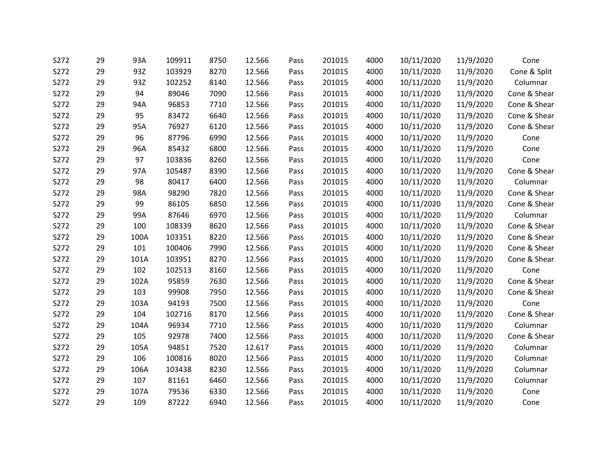| S272 | 29 | 93A  | 109911 | 8750 | 12.566 | Pass | 201015 | 4000 | 10/11/2020 | 11/9/2020 | Cone         |
|------|----|------|--------|------|--------|------|--------|------|------------|-----------|--------------|
| S272 | 29 | 93Z  | 103929 | 8270 | 12.566 | Pass | 201015 | 4000 | 10/11/2020 | 11/9/2020 | Cone & Split |
| S272 | 29 | 93Z  | 102252 | 8140 | 12.566 | Pass | 201015 | 4000 | 10/11/2020 | 11/9/2020 | Columnar     |
| S272 | 29 | 94   | 89046  | 7090 | 12.566 | Pass | 201015 | 4000 | 10/11/2020 | 11/9/2020 | Cone & Shear |
| S272 | 29 | 94A  | 96853  | 7710 | 12.566 | Pass | 201015 | 4000 | 10/11/2020 | 11/9/2020 | Cone & Shear |
| S272 | 29 | 95   | 83472  | 6640 | 12.566 | Pass | 201015 | 4000 | 10/11/2020 | 11/9/2020 | Cone & Shear |
| S272 | 29 | 95A  | 76927  | 6120 | 12.566 | Pass | 201015 | 4000 | 10/11/2020 | 11/9/2020 | Cone & Shear |
| S272 | 29 | 96   | 87796  | 6990 | 12.566 | Pass | 201015 | 4000 | 10/11/2020 | 11/9/2020 | Cone         |
| S272 | 29 | 96A  | 85432  | 6800 | 12.566 | Pass | 201015 | 4000 | 10/11/2020 | 11/9/2020 | Cone         |
| S272 | 29 | 97   | 103836 | 8260 | 12.566 | Pass | 201015 | 4000 | 10/11/2020 | 11/9/2020 | Cone         |
| S272 | 29 | 97A  | 105487 | 8390 | 12.566 | Pass | 201015 | 4000 | 10/11/2020 | 11/9/2020 | Cone & Shear |
| S272 | 29 | 98   | 80417  | 6400 | 12.566 | Pass | 201015 | 4000 | 10/11/2020 | 11/9/2020 | Columnar     |
| S272 | 29 | 98A  | 98290  | 7820 | 12.566 | Pass | 201015 | 4000 | 10/11/2020 | 11/9/2020 | Cone & Shear |
| S272 | 29 | 99   | 86105  | 6850 | 12.566 | Pass | 201015 | 4000 | 10/11/2020 | 11/9/2020 | Cone & Shear |
| S272 | 29 | 99A  | 87646  | 6970 | 12.566 | Pass | 201015 | 4000 | 10/11/2020 | 11/9/2020 | Columnar     |
| S272 | 29 | 100  | 108339 | 8620 | 12.566 | Pass | 201015 | 4000 | 10/11/2020 | 11/9/2020 | Cone & Shear |
| S272 | 29 | 100A | 103351 | 8220 | 12.566 | Pass | 201015 | 4000 | 10/11/2020 | 11/9/2020 | Cone & Shear |
| S272 | 29 | 101  | 100406 | 7990 | 12.566 | Pass | 201015 | 4000 | 10/11/2020 | 11/9/2020 | Cone & Shear |
| S272 | 29 | 101A | 103951 | 8270 | 12.566 | Pass | 201015 | 4000 | 10/11/2020 | 11/9/2020 | Cone & Shear |
| S272 | 29 | 102  | 102513 | 8160 | 12.566 | Pass | 201015 | 4000 | 10/11/2020 | 11/9/2020 | Cone         |
| S272 | 29 | 102A | 95859  | 7630 | 12.566 | Pass | 201015 | 4000 | 10/11/2020 | 11/9/2020 | Cone & Shear |
| S272 | 29 | 103  | 99908  | 7950 | 12.566 | Pass | 201015 | 4000 | 10/11/2020 | 11/9/2020 | Cone & Shear |
| S272 | 29 | 103A | 94193  | 7500 | 12.566 | Pass | 201015 | 4000 | 10/11/2020 | 11/9/2020 | Cone         |
| S272 | 29 | 104  | 102716 | 8170 | 12.566 | Pass | 201015 | 4000 | 10/11/2020 | 11/9/2020 | Cone & Shear |
| S272 | 29 | 104A | 96934  | 7710 | 12.566 | Pass | 201015 | 4000 | 10/11/2020 | 11/9/2020 | Columnar     |
| S272 | 29 | 105  | 92978  | 7400 | 12.566 | Pass | 201015 | 4000 | 10/11/2020 | 11/9/2020 | Cone & Shear |
| S272 | 29 | 105A | 94851  | 7520 | 12.617 | Pass | 201015 | 4000 | 10/11/2020 | 11/9/2020 | Columnar     |
| S272 | 29 | 106  | 100816 | 8020 | 12.566 | Pass | 201015 | 4000 | 10/11/2020 | 11/9/2020 | Columnar     |
| S272 | 29 | 106A | 103438 | 8230 | 12.566 | Pass | 201015 | 4000 | 10/11/2020 | 11/9/2020 | Columnar     |
| S272 | 29 | 107  | 81161  | 6460 | 12.566 | Pass | 201015 | 4000 | 10/11/2020 | 11/9/2020 | Columnar     |
| S272 | 29 | 107A | 79536  | 6330 | 12.566 | Pass | 201015 | 4000 | 10/11/2020 | 11/9/2020 | Cone         |
| S272 | 29 | 109  | 87222  | 6940 | 12.566 | Pass | 201015 | 4000 | 10/11/2020 | 11/9/2020 | Cone         |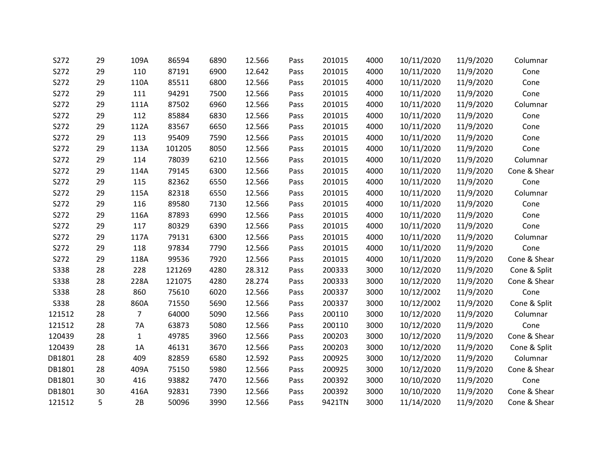| S272        | 29 | 109A           | 86594  | 6890 | 12.566 | Pass | 201015 | 4000 | 10/11/2020 | 11/9/2020 | Columnar     |
|-------------|----|----------------|--------|------|--------|------|--------|------|------------|-----------|--------------|
| S272        | 29 | 110            | 87191  | 6900 | 12.642 | Pass | 201015 | 4000 | 10/11/2020 | 11/9/2020 | Cone         |
| S272        | 29 | 110A           | 85511  | 6800 | 12.566 | Pass | 201015 | 4000 | 10/11/2020 | 11/9/2020 | Cone         |
| S272        | 29 | 111            | 94291  | 7500 | 12.566 | Pass | 201015 | 4000 | 10/11/2020 | 11/9/2020 | Cone         |
| S272        | 29 | 111A           | 87502  | 6960 | 12.566 | Pass | 201015 | 4000 | 10/11/2020 | 11/9/2020 | Columnar     |
| S272        | 29 | 112            | 85884  | 6830 | 12.566 | Pass | 201015 | 4000 | 10/11/2020 | 11/9/2020 | Cone         |
| S272        | 29 | 112A           | 83567  | 6650 | 12.566 | Pass | 201015 | 4000 | 10/11/2020 | 11/9/2020 | Cone         |
| S272        | 29 | 113            | 95409  | 7590 | 12.566 | Pass | 201015 | 4000 | 10/11/2020 | 11/9/2020 | Cone         |
| S272        | 29 | 113A           | 101205 | 8050 | 12.566 | Pass | 201015 | 4000 | 10/11/2020 | 11/9/2020 | Cone         |
| S272        | 29 | 114            | 78039  | 6210 | 12.566 | Pass | 201015 | 4000 | 10/11/2020 | 11/9/2020 | Columnar     |
| S272        | 29 | 114A           | 79145  | 6300 | 12.566 | Pass | 201015 | 4000 | 10/11/2020 | 11/9/2020 | Cone & Shear |
| S272        | 29 | 115            | 82362  | 6550 | 12.566 | Pass | 201015 | 4000 | 10/11/2020 | 11/9/2020 | Cone         |
| S272        | 29 | 115A           | 82318  | 6550 | 12.566 | Pass | 201015 | 4000 | 10/11/2020 | 11/9/2020 | Columnar     |
| S272        | 29 | 116            | 89580  | 7130 | 12.566 | Pass | 201015 | 4000 | 10/11/2020 | 11/9/2020 | Cone         |
| S272        | 29 | 116A           | 87893  | 6990 | 12.566 | Pass | 201015 | 4000 | 10/11/2020 | 11/9/2020 | Cone         |
| S272        | 29 | 117            | 80329  | 6390 | 12.566 | Pass | 201015 | 4000 | 10/11/2020 | 11/9/2020 | Cone         |
| S272        | 29 | 117A           | 79131  | 6300 | 12.566 | Pass | 201015 | 4000 | 10/11/2020 | 11/9/2020 | Columnar     |
| S272        | 29 | 118            | 97834  | 7790 | 12.566 | Pass | 201015 | 4000 | 10/11/2020 | 11/9/2020 | Cone         |
| S272        | 29 | 118A           | 99536  | 7920 | 12.566 | Pass | 201015 | 4000 | 10/11/2020 | 11/9/2020 | Cone & Shear |
| <b>S338</b> | 28 | 228            | 121269 | 4280 | 28.312 | Pass | 200333 | 3000 | 10/12/2020 | 11/9/2020 | Cone & Split |
| <b>S338</b> | 28 | 228A           | 121075 | 4280 | 28.274 | Pass | 200333 | 3000 | 10/12/2020 | 11/9/2020 | Cone & Shear |
| <b>S338</b> | 28 | 860            | 75610  | 6020 | 12.566 | Pass | 200337 | 3000 | 10/12/2002 | 11/9/2020 | Cone         |
| <b>S338</b> | 28 | 860A           | 71550  | 5690 | 12.566 | Pass | 200337 | 3000 | 10/12/2002 | 11/9/2020 | Cone & Split |
| 121512      | 28 | $\overline{7}$ | 64000  | 5090 | 12.566 | Pass | 200110 | 3000 | 10/12/2020 | 11/9/2020 | Columnar     |
| 121512      | 28 | 7A             | 63873  | 5080 | 12.566 | Pass | 200110 | 3000 | 10/12/2020 | 11/9/2020 | Cone         |
| 120439      | 28 | $\mathbf{1}$   | 49785  | 3960 | 12.566 | Pass | 200203 | 3000 | 10/12/2020 | 11/9/2020 | Cone & Shear |
| 120439      | 28 | 1A             | 46131  | 3670 | 12.566 | Pass | 200203 | 3000 | 10/12/2020 | 11/9/2020 | Cone & Split |
| DB1801      | 28 | 409            | 82859  | 6580 | 12.592 | Pass | 200925 | 3000 | 10/12/2020 | 11/9/2020 | Columnar     |
| DB1801      | 28 | 409A           | 75150  | 5980 | 12.566 | Pass | 200925 | 3000 | 10/12/2020 | 11/9/2020 | Cone & Shear |
| DB1801      | 30 | 416            | 93882  | 7470 | 12.566 | Pass | 200392 | 3000 | 10/10/2020 | 11/9/2020 | Cone         |
| DB1801      | 30 | 416A           | 92831  | 7390 | 12.566 | Pass | 200392 | 3000 | 10/10/2020 | 11/9/2020 | Cone & Shear |
| 121512      | 5  | 2B             | 50096  | 3990 | 12.566 | Pass | 9421TN | 3000 | 11/14/2020 | 11/9/2020 | Cone & Shear |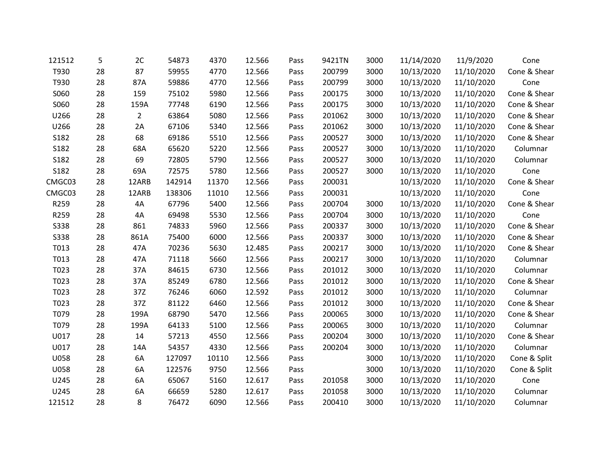| 121512      | 5  | 2C             | 54873  | 4370  | 12.566 | Pass | 9421TN | 3000 | 11/14/2020 | 11/9/2020  | Cone         |
|-------------|----|----------------|--------|-------|--------|------|--------|------|------------|------------|--------------|
| T930        | 28 | 87             | 59955  | 4770  | 12.566 | Pass | 200799 | 3000 | 10/13/2020 | 11/10/2020 | Cone & Shear |
| T930        | 28 | 87A            | 59886  | 4770  | 12.566 | Pass | 200799 | 3000 | 10/13/2020 | 11/10/2020 | Cone         |
| S060        | 28 | 159            | 75102  | 5980  | 12.566 | Pass | 200175 | 3000 | 10/13/2020 | 11/10/2020 | Cone & Shear |
| S060        | 28 | 159A           | 77748  | 6190  | 12.566 | Pass | 200175 | 3000 | 10/13/2020 | 11/10/2020 | Cone & Shear |
| U266        | 28 | $\overline{2}$ | 63864  | 5080  | 12.566 | Pass | 201062 | 3000 | 10/13/2020 | 11/10/2020 | Cone & Shear |
| U266        | 28 | 2A             | 67106  | 5340  | 12.566 | Pass | 201062 | 3000 | 10/13/2020 | 11/10/2020 | Cone & Shear |
| S182        | 28 | 68             | 69186  | 5510  | 12.566 | Pass | 200527 | 3000 | 10/13/2020 | 11/10/2020 | Cone & Shear |
| S182        | 28 | 68A            | 65620  | 5220  | 12.566 | Pass | 200527 | 3000 | 10/13/2020 | 11/10/2020 | Columnar     |
| S182        | 28 | 69             | 72805  | 5790  | 12.566 | Pass | 200527 | 3000 | 10/13/2020 | 11/10/2020 | Columnar     |
| S182        | 28 | 69A            | 72575  | 5780  | 12.566 | Pass | 200527 | 3000 | 10/13/2020 | 11/10/2020 | Cone         |
| CMGC03      | 28 | 12ARB          | 142914 | 11370 | 12.566 | Pass | 200031 |      | 10/13/2020 | 11/10/2020 | Cone & Shear |
| CMGC03      | 28 | 12ARB          | 138306 | 11010 | 12.566 | Pass | 200031 |      | 10/13/2020 | 11/10/2020 | Cone         |
| R259        | 28 | 4A             | 67796  | 5400  | 12.566 | Pass | 200704 | 3000 | 10/13/2020 | 11/10/2020 | Cone & Shear |
| R259        | 28 | 4A             | 69498  | 5530  | 12.566 | Pass | 200704 | 3000 | 10/13/2020 | 11/10/2020 | Cone         |
| <b>S338</b> | 28 | 861            | 74833  | 5960  | 12.566 | Pass | 200337 | 3000 | 10/13/2020 | 11/10/2020 | Cone & Shear |
| <b>S338</b> | 28 | 861A           | 75400  | 6000  | 12.566 | Pass | 200337 | 3000 | 10/13/2020 | 11/10/2020 | Cone & Shear |
| T013        | 28 | 47A            | 70236  | 5630  | 12.485 | Pass | 200217 | 3000 | 10/13/2020 | 11/10/2020 | Cone & Shear |
| T013        | 28 | 47A            | 71118  | 5660  | 12.566 | Pass | 200217 | 3000 | 10/13/2020 | 11/10/2020 | Columnar     |
| T023        | 28 | 37A            | 84615  | 6730  | 12.566 | Pass | 201012 | 3000 | 10/13/2020 | 11/10/2020 | Columnar     |
| T023        | 28 | 37A            | 85249  | 6780  | 12.566 | Pass | 201012 | 3000 | 10/13/2020 | 11/10/2020 | Cone & Shear |
| T023        | 28 | 37Z            | 76246  | 6060  | 12.592 | Pass | 201012 | 3000 | 10/13/2020 | 11/10/2020 | Columnar     |
| T023        | 28 | 37Z            | 81122  | 6460  | 12.566 | Pass | 201012 | 3000 | 10/13/2020 | 11/10/2020 | Cone & Shear |
| T079        | 28 | 199A           | 68790  | 5470  | 12.566 | Pass | 200065 | 3000 | 10/13/2020 | 11/10/2020 | Cone & Shear |
| T079        | 28 | 199A           | 64133  | 5100  | 12.566 | Pass | 200065 | 3000 | 10/13/2020 | 11/10/2020 | Columnar     |
| U017        | 28 | 14             | 57213  | 4550  | 12.566 | Pass | 200204 | 3000 | 10/13/2020 | 11/10/2020 | Cone & Shear |
| U017        | 28 | 14A            | 54357  | 4330  | 12.566 | Pass | 200204 | 3000 | 10/13/2020 | 11/10/2020 | Columnar     |
| U058        | 28 | 6A             | 127097 | 10110 | 12.566 | Pass |        | 3000 | 10/13/2020 | 11/10/2020 | Cone & Split |
| U058        | 28 | 6A             | 122576 | 9750  | 12.566 | Pass |        | 3000 | 10/13/2020 | 11/10/2020 | Cone & Split |
| U245        | 28 | 6A             | 65067  | 5160  | 12.617 | Pass | 201058 | 3000 | 10/13/2020 | 11/10/2020 | Cone         |
| U245        | 28 | 6A             | 66659  | 5280  | 12.617 | Pass | 201058 | 3000 | 10/13/2020 | 11/10/2020 | Columnar     |
| 121512      | 28 | 8              | 76472  | 6090  | 12.566 | Pass | 200410 | 3000 | 10/13/2020 | 11/10/2020 | Columnar     |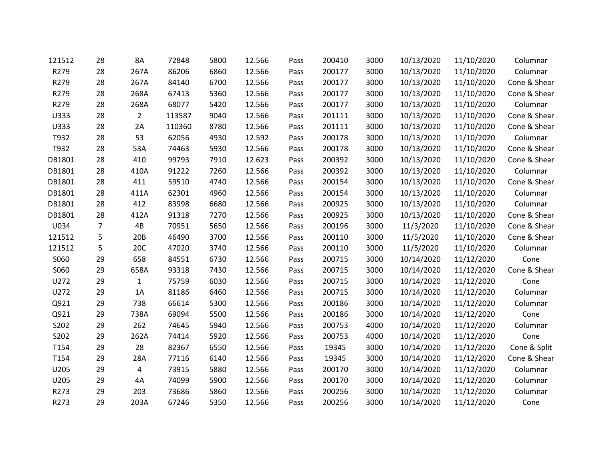| 121512 | 28             | 8A             | 72848  | 5800 | 12.566 | Pass | 200410 | 3000 | 10/13/2020 | 11/10/2020 | Columnar     |
|--------|----------------|----------------|--------|------|--------|------|--------|------|------------|------------|--------------|
| R279   | 28             | 267A           | 86206  | 6860 | 12.566 | Pass | 200177 | 3000 | 10/13/2020 | 11/10/2020 | Columnar     |
| R279   | 28             | 267A           | 84140  | 6700 | 12.566 | Pass | 200177 | 3000 | 10/13/2020 | 11/10/2020 | Cone & Shear |
| R279   | 28             | 268A           | 67413  | 5360 | 12.566 | Pass | 200177 | 3000 | 10/13/2020 | 11/10/2020 | Cone & Shear |
| R279   | 28             | 268A           | 68077  | 5420 | 12.566 | Pass | 200177 | 3000 | 10/13/2020 | 11/10/2020 | Columnar     |
| U333   | 28             | $\overline{2}$ | 113587 | 9040 | 12.566 | Pass | 201111 | 3000 | 10/13/2020 | 11/10/2020 | Cone & Shear |
| U333   | 28             | 2A             | 110360 | 8780 | 12.566 | Pass | 201111 | 3000 | 10/13/2020 | 11/10/2020 | Cone & Shear |
| T932   | 28             | 53             | 62056  | 4930 | 12.592 | Pass | 200178 | 3000 | 10/13/2020 | 11/10/2020 | Columnar     |
| T932   | 28             | 53A            | 74463  | 5930 | 12.566 | Pass | 200178 | 3000 | 10/13/2020 | 11/10/2020 | Cone & Shear |
| DB1801 | 28             | 410            | 99793  | 7910 | 12.623 | Pass | 200392 | 3000 | 10/13/2020 | 11/10/2020 | Cone & Shear |
| DB1801 | 28             | 410A           | 91222  | 7260 | 12.566 | Pass | 200392 | 3000 | 10/13/2020 | 11/10/2020 | Columnar     |
| DB1801 | 28             | 411            | 59510  | 4740 | 12.566 | Pass | 200154 | 3000 | 10/13/2020 | 11/10/2020 | Cone & Shear |
| DB1801 | 28             | 411A           | 62301  | 4960 | 12.566 | Pass | 200154 | 3000 | 10/13/2020 | 11/10/2020 | Columnar     |
| DB1801 | 28             | 412            | 83998  | 6680 | 12.566 | Pass | 200925 | 3000 | 10/13/2020 | 11/10/2020 | Columnar     |
| DB1801 | 28             | 412A           | 91318  | 7270 | 12.566 | Pass | 200925 | 3000 | 10/13/2020 | 11/10/2020 | Cone & Shear |
| U034   | $\overline{7}$ | 4B             | 70951  | 5650 | 12.566 | Pass | 200196 | 3000 | 11/3/2020  | 11/10/2020 | Cone & Shear |
| 121512 | 5              | 20B            | 46490  | 3700 | 12.566 | Pass | 200110 | 3000 | 11/5/2020  | 11/10/2020 | Cone & Shear |
| 121512 | 5              | 20C            | 47020  | 3740 | 12.566 | Pass | 200110 | 3000 | 11/5/2020  | 11/10/2020 | Columnar     |
| S060   | 29             | 658            | 84551  | 6730 | 12.566 | Pass | 200715 | 3000 | 10/14/2020 | 11/12/2020 | Cone         |
| S060   | 29             | 658A           | 93318  | 7430 | 12.566 | Pass | 200715 | 3000 | 10/14/2020 | 11/12/2020 | Cone & Shear |
| U272   | 29             | $\mathbf{1}$   | 75759  | 6030 | 12.566 | Pass | 200715 | 3000 | 10/14/2020 | 11/12/2020 | Cone         |
| U272   | 29             | 1A             | 81186  | 6460 | 12.566 | Pass | 200715 | 3000 | 10/14/2020 | 11/12/2020 | Columnar     |
| Q921   | 29             | 738            | 66614  | 5300 | 12.566 | Pass | 200186 | 3000 | 10/14/2020 | 11/12/2020 | Columnar     |
| Q921   | 29             | 738A           | 69094  | 5500 | 12.566 | Pass | 200186 | 3000 | 10/14/2020 | 11/12/2020 | Cone         |
| S202   | 29             | 262            | 74645  | 5940 | 12.566 | Pass | 200753 | 4000 | 10/14/2020 | 11/12/2020 | Columnar     |
| S202   | 29             | 262A           | 74414  | 5920 | 12.566 | Pass | 200753 | 4000 | 10/14/2020 | 11/12/2020 | Cone         |
| T154   | 29             | 28             | 82367  | 6550 | 12.566 | Pass | 19345  | 3000 | 10/14/2020 | 11/12/2020 | Cone & Split |
| T154   | 29             | 28A            | 77116  | 6140 | 12.566 | Pass | 19345  | 3000 | 10/14/2020 | 11/12/2020 | Cone & Shear |
| U205   | 29             | $\overline{4}$ | 73915  | 5880 | 12.566 | Pass | 200170 | 3000 | 10/14/2020 | 11/12/2020 | Columnar     |
| U205   | 29             | 4A             | 74099  | 5900 | 12.566 | Pass | 200170 | 3000 | 10/14/2020 | 11/12/2020 | Columnar     |
| R273   | 29             | 203            | 73686  | 5860 | 12.566 | Pass | 200256 | 3000 | 10/14/2020 | 11/12/2020 | Columnar     |
| R273   | 29             | 203A           | 67246  | 5350 | 12.566 | Pass | 200256 | 3000 | 10/14/2020 | 11/12/2020 | Cone         |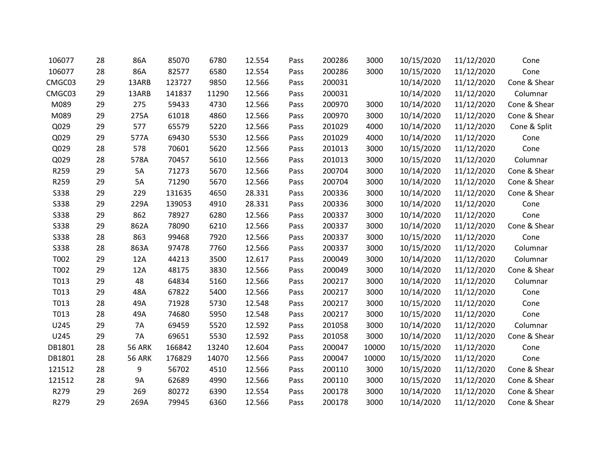| 106077      | 28 | 86A           | 85070  | 6780  | 12.554 | Pass | 200286 | 3000  | 10/15/2020 | 11/12/2020 | Cone         |
|-------------|----|---------------|--------|-------|--------|------|--------|-------|------------|------------|--------------|
| 106077      | 28 | 86A           | 82577  | 6580  | 12.554 | Pass | 200286 | 3000  | 10/15/2020 | 11/12/2020 | Cone         |
| CMGC03      | 29 | 13ARB         | 123727 | 9850  | 12.566 | Pass | 200031 |       | 10/14/2020 | 11/12/2020 | Cone & Shear |
| CMGC03      | 29 | 13ARB         | 141837 | 11290 | 12.566 | Pass | 200031 |       | 10/14/2020 | 11/12/2020 | Columnar     |
| M089        | 29 | 275           | 59433  | 4730  | 12.566 | Pass | 200970 | 3000  | 10/14/2020 | 11/12/2020 | Cone & Shear |
| M089        | 29 | 275A          | 61018  | 4860  | 12.566 | Pass | 200970 | 3000  | 10/14/2020 | 11/12/2020 | Cone & Shear |
| Q029        | 29 | 577           | 65579  | 5220  | 12.566 | Pass | 201029 | 4000  | 10/14/2020 | 11/12/2020 | Cone & Split |
| Q029        | 29 | 577A          | 69430  | 5530  | 12.566 | Pass | 201029 | 4000  | 10/14/2020 | 11/12/2020 | Cone         |
| Q029        | 28 | 578           | 70601  | 5620  | 12.566 | Pass | 201013 | 3000  | 10/15/2020 | 11/12/2020 | Cone         |
| Q029        | 28 | 578A          | 70457  | 5610  | 12.566 | Pass | 201013 | 3000  | 10/15/2020 | 11/12/2020 | Columnar     |
| R259        | 29 | 5A            | 71273  | 5670  | 12.566 | Pass | 200704 | 3000  | 10/14/2020 | 11/12/2020 | Cone & Shear |
| R259        | 29 | 5A            | 71290  | 5670  | 12.566 | Pass | 200704 | 3000  | 10/14/2020 | 11/12/2020 | Cone & Shear |
| S338        | 29 | 229           | 131635 | 4650  | 28.331 | Pass | 200336 | 3000  | 10/14/2020 | 11/12/2020 | Cone & Shear |
| S338        | 29 | 229A          | 139053 | 4910  | 28.331 | Pass | 200336 | 3000  | 10/14/2020 | 11/12/2020 | Cone         |
| S338        | 29 | 862           | 78927  | 6280  | 12.566 | Pass | 200337 | 3000  | 10/14/2020 | 11/12/2020 | Cone         |
| <b>S338</b> | 29 | 862A          | 78090  | 6210  | 12.566 | Pass | 200337 | 3000  | 10/14/2020 | 11/12/2020 | Cone & Shear |
| S338        | 28 | 863           | 99468  | 7920  | 12.566 | Pass | 200337 | 3000  | 10/15/2020 | 11/12/2020 | Cone         |
| S338        | 28 | 863A          | 97478  | 7760  | 12.566 | Pass | 200337 | 3000  | 10/15/2020 | 11/12/2020 | Columnar     |
| T002        | 29 | 12A           | 44213  | 3500  | 12.617 | Pass | 200049 | 3000  | 10/14/2020 | 11/12/2020 | Columnar     |
| T002        | 29 | 12A           | 48175  | 3830  | 12.566 | Pass | 200049 | 3000  | 10/14/2020 | 11/12/2020 | Cone & Shear |
| T013        | 29 | 48            | 64834  | 5160  | 12.566 | Pass | 200217 | 3000  | 10/14/2020 | 11/12/2020 | Columnar     |
| T013        | 29 | 48A           | 67822  | 5400  | 12.566 | Pass | 200217 | 3000  | 10/14/2020 | 11/12/2020 | Cone         |
| T013        | 28 | 49A           | 71928  | 5730  | 12.548 | Pass | 200217 | 3000  | 10/15/2020 | 11/12/2020 | Cone         |
| T013        | 28 | 49A           | 74680  | 5950  | 12.548 | Pass | 200217 | 3000  | 10/15/2020 | 11/12/2020 | Cone         |
| U245        | 29 | 7A            | 69459  | 5520  | 12.592 | Pass | 201058 | 3000  | 10/14/2020 | 11/12/2020 | Columnar     |
| U245        | 29 | <b>7A</b>     | 69651  | 5530  | 12.592 | Pass | 201058 | 3000  | 10/14/2020 | 11/12/2020 | Cone & Shear |
| DB1801      | 28 | <b>56 ARK</b> | 166842 | 13240 | 12.604 | Pass | 200047 | 10000 | 10/15/2020 | 11/12/2020 | Cone         |
| DB1801      | 28 | <b>56 ARK</b> | 176829 | 14070 | 12.566 | Pass | 200047 | 10000 | 10/15/2020 | 11/12/2020 | Cone         |
| 121512      | 28 | 9             | 56702  | 4510  | 12.566 | Pass | 200110 | 3000  | 10/15/2020 | 11/12/2020 | Cone & Shear |
| 121512      | 28 | <b>9A</b>     | 62689  | 4990  | 12.566 | Pass | 200110 | 3000  | 10/15/2020 | 11/12/2020 | Cone & Shear |
| R279        | 29 | 269           | 80272  | 6390  | 12.554 | Pass | 200178 | 3000  | 10/14/2020 | 11/12/2020 | Cone & Shear |
| R279        | 29 | 269A          | 79945  | 6360  | 12.566 | Pass | 200178 | 3000  | 10/14/2020 | 11/12/2020 | Cone & Shear |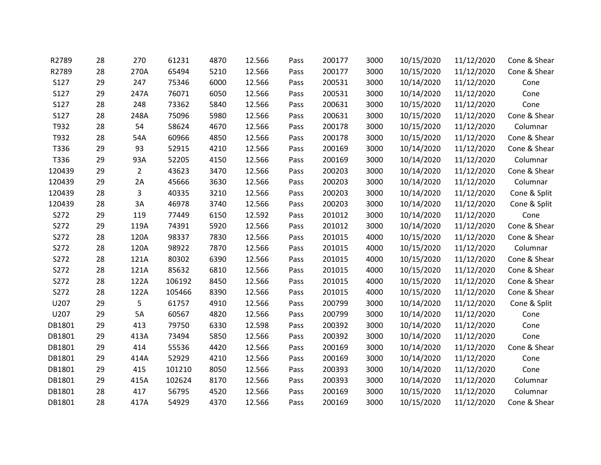| R2789       | 28 | 270            | 61231  | 4870 | 12.566 | Pass | 200177 | 3000 | 10/15/2020 | 11/12/2020 | Cone & Shear |
|-------------|----|----------------|--------|------|--------|------|--------|------|------------|------------|--------------|
| R2789       | 28 | 270A           | 65494  | 5210 | 12.566 | Pass | 200177 | 3000 | 10/15/2020 | 11/12/2020 | Cone & Shear |
| S127        | 29 | 247            | 75346  | 6000 | 12.566 | Pass | 200531 | 3000 | 10/14/2020 | 11/12/2020 | Cone         |
| S127        | 29 | 247A           | 76071  | 6050 | 12.566 | Pass | 200531 | 3000 | 10/14/2020 | 11/12/2020 | Cone         |
| S127        | 28 | 248            | 73362  | 5840 | 12.566 | Pass | 200631 | 3000 | 10/15/2020 | 11/12/2020 | Cone         |
| <b>S127</b> | 28 | 248A           | 75096  | 5980 | 12.566 | Pass | 200631 | 3000 | 10/15/2020 | 11/12/2020 | Cone & Shear |
| T932        | 28 | 54             | 58624  | 4670 | 12.566 | Pass | 200178 | 3000 | 10/15/2020 | 11/12/2020 | Columnar     |
| T932        | 28 | 54A            | 60966  | 4850 | 12.566 | Pass | 200178 | 3000 | 10/15/2020 | 11/12/2020 | Cone & Shear |
| T336        | 29 | 93             | 52915  | 4210 | 12.566 | Pass | 200169 | 3000 | 10/14/2020 | 11/12/2020 | Cone & Shear |
| T336        | 29 | 93A            | 52205  | 4150 | 12.566 | Pass | 200169 | 3000 | 10/14/2020 | 11/12/2020 | Columnar     |
| 120439      | 29 | $\overline{2}$ | 43623  | 3470 | 12.566 | Pass | 200203 | 3000 | 10/14/2020 | 11/12/2020 | Cone & Shear |
| 120439      | 29 | 2A             | 45666  | 3630 | 12.566 | Pass | 200203 | 3000 | 10/14/2020 | 11/12/2020 | Columnar     |
| 120439      | 28 | $\overline{3}$ | 40335  | 3210 | 12.566 | Pass | 200203 | 3000 | 10/14/2020 | 11/12/2020 | Cone & Split |
| 120439      | 28 | 3A             | 46978  | 3740 | 12.566 | Pass | 200203 | 3000 | 10/14/2020 | 11/12/2020 | Cone & Split |
| S272        | 29 | 119            | 77449  | 6150 | 12.592 | Pass | 201012 | 3000 | 10/14/2020 | 11/12/2020 | Cone         |
| S272        | 29 | 119A           | 74391  | 5920 | 12.566 | Pass | 201012 | 3000 | 10/14/2020 | 11/12/2020 | Cone & Shear |
| S272        | 28 | 120A           | 98337  | 7830 | 12.566 | Pass | 201015 | 4000 | 10/15/2020 | 11/12/2020 | Cone & Shear |
| S272        | 28 | 120A           | 98922  | 7870 | 12.566 | Pass | 201015 | 4000 | 10/15/2020 | 11/12/2020 | Columnar     |
| S272        | 28 | 121A           | 80302  | 6390 | 12.566 | Pass | 201015 | 4000 | 10/15/2020 | 11/12/2020 | Cone & Shear |
| S272        | 28 | 121A           | 85632  | 6810 | 12.566 | Pass | 201015 | 4000 | 10/15/2020 | 11/12/2020 | Cone & Shear |
| S272        | 28 | 122A           | 106192 | 8450 | 12.566 | Pass | 201015 | 4000 | 10/15/2020 | 11/12/2020 | Cone & Shear |
| S272        | 28 | 122A           | 105466 | 8390 | 12.566 | Pass | 201015 | 4000 | 10/15/2020 | 11/12/2020 | Cone & Shear |
| U207        | 29 | 5              | 61757  | 4910 | 12.566 | Pass | 200799 | 3000 | 10/14/2020 | 11/12/2020 | Cone & Split |
| U207        | 29 | 5A             | 60567  | 4820 | 12.566 | Pass | 200799 | 3000 | 10/14/2020 | 11/12/2020 | Cone         |
| DB1801      | 29 | 413            | 79750  | 6330 | 12.598 | Pass | 200392 | 3000 | 10/14/2020 | 11/12/2020 | Cone         |
| DB1801      | 29 | 413A           | 73494  | 5850 | 12.566 | Pass | 200392 | 3000 | 10/14/2020 | 11/12/2020 | Cone         |
| DB1801      | 29 | 414            | 55536  | 4420 | 12.566 | Pass | 200169 | 3000 | 10/14/2020 | 11/12/2020 | Cone & Shear |
| DB1801      | 29 | 414A           | 52929  | 4210 | 12.566 | Pass | 200169 | 3000 | 10/14/2020 | 11/12/2020 | Cone         |
| DB1801      | 29 | 415            | 101210 | 8050 | 12.566 | Pass | 200393 | 3000 | 10/14/2020 | 11/12/2020 | Cone         |
| DB1801      | 29 | 415A           | 102624 | 8170 | 12.566 | Pass | 200393 | 3000 | 10/14/2020 | 11/12/2020 | Columnar     |
| DB1801      | 28 | 417            | 56795  | 4520 | 12.566 | Pass | 200169 | 3000 | 10/15/2020 | 11/12/2020 | Columnar     |
| DB1801      | 28 | 417A           | 54929  | 4370 | 12.566 | Pass | 200169 | 3000 | 10/15/2020 | 11/12/2020 | Cone & Shear |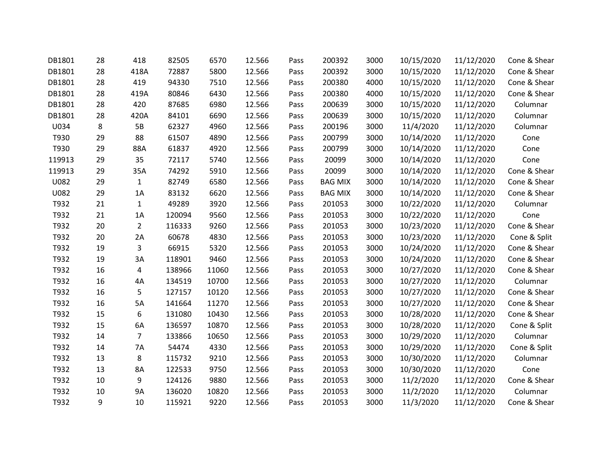| DB1801 | 28 | 418            | 82505  | 6570  | 12.566 | Pass | 200392         | 3000 | 10/15/2020 | 11/12/2020 | Cone & Shear |
|--------|----|----------------|--------|-------|--------|------|----------------|------|------------|------------|--------------|
| DB1801 | 28 | 418A           | 72887  | 5800  | 12.566 | Pass | 200392         | 3000 | 10/15/2020 | 11/12/2020 | Cone & Shear |
| DB1801 | 28 | 419            | 94330  | 7510  | 12.566 | Pass | 200380         | 4000 | 10/15/2020 | 11/12/2020 | Cone & Shear |
| DB1801 | 28 | 419A           | 80846  | 6430  | 12.566 | Pass | 200380         | 4000 | 10/15/2020 | 11/12/2020 | Cone & Shear |
| DB1801 | 28 | 420            | 87685  | 6980  | 12.566 | Pass | 200639         | 3000 | 10/15/2020 | 11/12/2020 | Columnar     |
| DB1801 | 28 | 420A           | 84101  | 6690  | 12.566 | Pass | 200639         | 3000 | 10/15/2020 | 11/12/2020 | Columnar     |
| U034   | 8  | 5B             | 62327  | 4960  | 12.566 | Pass | 200196         | 3000 | 11/4/2020  | 11/12/2020 | Columnar     |
| T930   | 29 | 88             | 61507  | 4890  | 12.566 | Pass | 200799         | 3000 | 10/14/2020 | 11/12/2020 | Cone         |
| T930   | 29 | 88A            | 61837  | 4920  | 12.566 | Pass | 200799         | 3000 | 10/14/2020 | 11/12/2020 | Cone         |
| 119913 | 29 | 35             | 72117  | 5740  | 12.566 | Pass | 20099          | 3000 | 10/14/2020 | 11/12/2020 | Cone         |
| 119913 | 29 | 35A            | 74292  | 5910  | 12.566 | Pass | 20099          | 3000 | 10/14/2020 | 11/12/2020 | Cone & Shear |
| U082   | 29 | $\mathbf{1}$   | 82749  | 6580  | 12.566 | Pass | <b>BAG MIX</b> | 3000 | 10/14/2020 | 11/12/2020 | Cone & Shear |
| U082   | 29 | 1A             | 83132  | 6620  | 12.566 | Pass | <b>BAG MIX</b> | 3000 | 10/14/2020 | 11/12/2020 | Cone & Shear |
| T932   | 21 | $\mathbf{1}$   | 49289  | 3920  | 12.566 | Pass | 201053         | 3000 | 10/22/2020 | 11/12/2020 | Columnar     |
| T932   | 21 | $1A$           | 120094 | 9560  | 12.566 | Pass | 201053         | 3000 | 10/22/2020 | 11/12/2020 | Cone         |
| T932   | 20 | $\overline{2}$ | 116333 | 9260  | 12.566 | Pass | 201053         | 3000 | 10/23/2020 | 11/12/2020 | Cone & Shear |
| T932   | 20 | 2A             | 60678  | 4830  | 12.566 | Pass | 201053         | 3000 | 10/23/2020 | 11/12/2020 | Cone & Split |
| T932   | 19 | 3              | 66915  | 5320  | 12.566 | Pass | 201053         | 3000 | 10/24/2020 | 11/12/2020 | Cone & Shear |
| T932   | 19 | 3A             | 118901 | 9460  | 12.566 | Pass | 201053         | 3000 | 10/24/2020 | 11/12/2020 | Cone & Shear |
| T932   | 16 | 4              | 138966 | 11060 | 12.566 | Pass | 201053         | 3000 | 10/27/2020 | 11/12/2020 | Cone & Shear |
| T932   | 16 | 4A             | 134519 | 10700 | 12.566 | Pass | 201053         | 3000 | 10/27/2020 | 11/12/2020 | Columnar     |
| T932   | 16 | 5              | 127157 | 10120 | 12.566 | Pass | 201053         | 3000 | 10/27/2020 | 11/12/2020 | Cone & Shear |
| T932   | 16 | 5A             | 141664 | 11270 | 12.566 | Pass | 201053         | 3000 | 10/27/2020 | 11/12/2020 | Cone & Shear |
| T932   | 15 | 6              | 131080 | 10430 | 12.566 | Pass | 201053         | 3000 | 10/28/2020 | 11/12/2020 | Cone & Shear |
| T932   | 15 | 6A             | 136597 | 10870 | 12.566 | Pass | 201053         | 3000 | 10/28/2020 | 11/12/2020 | Cone & Split |
| T932   | 14 | $\overline{7}$ | 133866 | 10650 | 12.566 | Pass | 201053         | 3000 | 10/29/2020 | 11/12/2020 | Columnar     |
| T932   | 14 | 7A             | 54474  | 4330  | 12.566 | Pass | 201053         | 3000 | 10/29/2020 | 11/12/2020 | Cone & Split |
| T932   | 13 | 8              | 115732 | 9210  | 12.566 | Pass | 201053         | 3000 | 10/30/2020 | 11/12/2020 | Columnar     |
| T932   | 13 | 8A             | 122533 | 9750  | 12.566 | Pass | 201053         | 3000 | 10/30/2020 | 11/12/2020 | Cone         |
| T932   | 10 | 9              | 124126 | 9880  | 12.566 | Pass | 201053         | 3000 | 11/2/2020  | 11/12/2020 | Cone & Shear |
| T932   | 10 | <b>9A</b>      | 136020 | 10820 | 12.566 | Pass | 201053         | 3000 | 11/2/2020  | 11/12/2020 | Columnar     |
| T932   | 9  | 10             | 115921 | 9220  | 12.566 | Pass | 201053         | 3000 | 11/3/2020  | 11/12/2020 | Cone & Shear |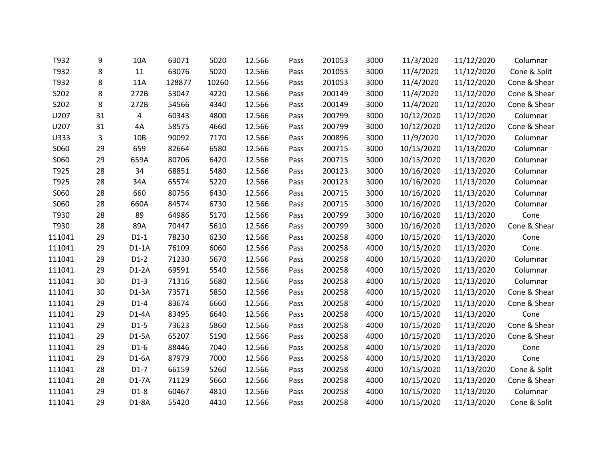| T932   | 9  | 10A             | 63071  | 5020  | 12.566 | Pass | 201053 | 3000 | 11/3/2020  | 11/12/2020 | Columnar     |
|--------|----|-----------------|--------|-------|--------|------|--------|------|------------|------------|--------------|
| T932   | 8  | 11              | 63076  | 5020  | 12.566 | Pass | 201053 | 3000 | 11/4/2020  | 11/12/2020 | Cone & Split |
| T932   | 8  | 11A             | 128877 | 10260 | 12.566 | Pass | 201053 | 3000 | 11/4/2020  | 11/12/2020 | Cone & Shear |
| S202   | 8  | 272B            | 53047  | 4220  | 12.566 | Pass | 200149 | 3000 | 11/4/2020  | 11/12/2020 | Cone & Shear |
| S202   | 8  | 272B            | 54566  | 4340  | 12.566 | Pass | 200149 | 3000 | 11/4/2020  | 11/12/2020 | Cone & Shear |
| U207   | 31 | 4               | 60343  | 4800  | 12.566 | Pass | 200799 | 3000 | 10/12/2020 | 11/12/2020 | Columnar     |
| U207   | 31 | 4A              | 58575  | 4660  | 12.566 | Pass | 200799 | 3000 | 10/12/2020 | 11/12/2020 | Cone & Shear |
| U333   | 3  | 10 <sub>B</sub> | 90092  | 7170  | 12.566 | Pass | 200896 | 3000 | 11/9/2020  | 11/12/2020 | Columnar     |
| S060   | 29 | 659             | 82664  | 6580  | 12.566 | Pass | 200715 | 3000 | 10/15/2020 | 11/13/2020 | Columnar     |
| S060   | 29 | 659A            | 80706  | 6420  | 12.566 | Pass | 200715 | 3000 | 10/15/2020 | 11/13/2020 | Columnar     |
| T925   | 28 | 34              | 68851  | 5480  | 12.566 | Pass | 200123 | 3000 | 10/16/2020 | 11/13/2020 | Columnar     |
| T925   | 28 | 34A             | 65574  | 5220  | 12.566 | Pass | 200123 | 3000 | 10/16/2020 | 11/13/2020 | Columnar     |
| S060   | 28 | 660             | 80756  | 6430  | 12.566 | Pass | 200715 | 3000 | 10/16/2020 | 11/13/2020 | Columnar     |
| S060   | 28 | 660A            | 84574  | 6730  | 12.566 | Pass | 200715 | 3000 | 10/16/2020 | 11/13/2020 | Columnar     |
| T930   | 28 | 89              | 64986  | 5170  | 12.566 | Pass | 200799 | 3000 | 10/16/2020 | 11/13/2020 | Cone         |
| T930   | 28 | 89A             | 70447  | 5610  | 12.566 | Pass | 200799 | 3000 | 10/16/2020 | 11/13/2020 | Cone & Shear |
| 111041 | 29 | $D1-1$          | 78230  | 6230  | 12.566 | Pass | 200258 | 4000 | 10/15/2020 | 11/13/2020 | Cone         |
| 111041 | 29 | $D1-1A$         | 76109  | 6060  | 12.566 | Pass | 200258 | 4000 | 10/15/2020 | 11/13/2020 | Cone         |
| 111041 | 29 | $D1-2$          | 71230  | 5670  | 12.566 | Pass | 200258 | 4000 | 10/15/2020 | 11/13/2020 | Columnar     |
| 111041 | 29 | $D1-2A$         | 69591  | 5540  | 12.566 | Pass | 200258 | 4000 | 10/15/2020 | 11/13/2020 | Columnar     |
| 111041 | 30 | $D1-3$          | 71316  | 5680  | 12.566 | Pass | 200258 | 4000 | 10/15/2020 | 11/13/2020 | Columnar     |
| 111041 | 30 | $D1-3A$         | 73571  | 5850  | 12.566 | Pass | 200258 | 4000 | 10/15/2020 | 11/13/2020 | Cone & Shear |
| 111041 | 29 | $D1-4$          | 83674  | 6660  | 12.566 | Pass | 200258 | 4000 | 10/15/2020 | 11/13/2020 | Cone & Shear |
| 111041 | 29 | $D1-4A$         | 83495  | 6640  | 12.566 | Pass | 200258 | 4000 | 10/15/2020 | 11/13/2020 | Cone         |
| 111041 | 29 | $D1-5$          | 73623  | 5860  | 12.566 | Pass | 200258 | 4000 | 10/15/2020 | 11/13/2020 | Cone & Shear |
| 111041 | 29 | $D1-5A$         | 65207  | 5190  | 12.566 | Pass | 200258 | 4000 | 10/15/2020 | 11/13/2020 | Cone & Shear |
| 111041 | 29 | $D1-6$          | 88446  | 7040  | 12.566 | Pass | 200258 | 4000 | 10/15/2020 | 11/13/2020 | Cone         |
| 111041 | 29 | $D1-6A$         | 87979  | 7000  | 12.566 | Pass | 200258 | 4000 | 10/15/2020 | 11/13/2020 | Cone         |
| 111041 | 28 | $D1-7$          | 66159  | 5260  | 12.566 | Pass | 200258 | 4000 | 10/15/2020 | 11/13/2020 | Cone & Split |
| 111041 | 28 | $D1-7A$         | 71129  | 5660  | 12.566 | Pass | 200258 | 4000 | 10/15/2020 | 11/13/2020 | Cone & Shear |
| 111041 | 29 | $D1-8$          | 60467  | 4810  | 12.566 | Pass | 200258 | 4000 | 10/15/2020 | 11/13/2020 | Columnar     |
| 111041 | 29 | D1-8A           | 55420  | 4410  | 12.566 | Pass | 200258 | 4000 | 10/15/2020 | 11/13/2020 | Cone & Split |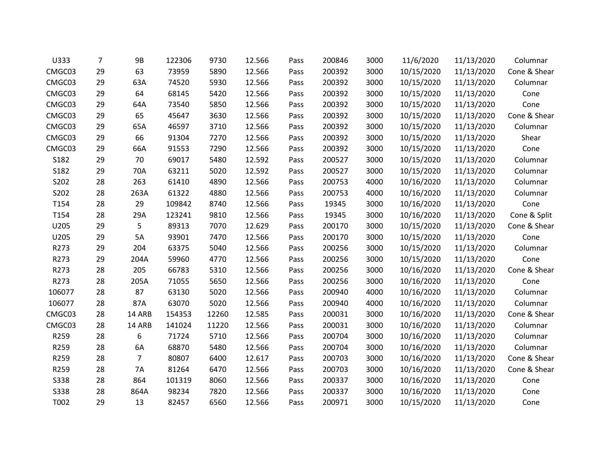| U333        | $\overline{7}$ | 9B             | 122306 | 9730  | 12.566 | Pass | 200846 | 3000 | 11/6/2020  | 11/13/2020 | Columnar     |
|-------------|----------------|----------------|--------|-------|--------|------|--------|------|------------|------------|--------------|
| CMGC03      | 29             | 63             | 73959  | 5890  | 12.566 | Pass | 200392 | 3000 | 10/15/2020 | 11/13/2020 | Cone & Shear |
| CMGC03      | 29             | 63A            | 74520  | 5930  | 12.566 | Pass | 200392 | 3000 | 10/15/2020 | 11/13/2020 | Columnar     |
| CMGC03      | 29             | 64             | 68145  | 5420  | 12.566 | Pass | 200392 | 3000 | 10/15/2020 | 11/13/2020 | Cone         |
| CMGC03      | 29             | 64A            | 73540  | 5850  | 12.566 | Pass | 200392 | 3000 | 10/15/2020 | 11/13/2020 | Cone         |
| CMGC03      | 29             | 65             | 45647  | 3630  | 12.566 | Pass | 200392 | 3000 | 10/15/2020 | 11/13/2020 | Cone & Shear |
| CMGC03      | 29             | 65A            | 46597  | 3710  | 12.566 | Pass | 200392 | 3000 | 10/15/2020 | 11/13/2020 | Columnar     |
| CMGC03      | 29             | 66             | 91304  | 7270  | 12.566 | Pass | 200392 | 3000 | 10/15/2020 | 11/13/2020 | Shear        |
| CMGC03      | 29             | 66A            | 91553  | 7290  | 12.566 | Pass | 200392 | 3000 | 10/15/2020 | 11/13/2020 | Cone         |
| S182        | 29             | 70             | 69017  | 5480  | 12.592 | Pass | 200527 | 3000 | 10/15/2020 | 11/13/2020 | Columnar     |
| S182        | 29             | 70A            | 63211  | 5020  | 12.592 | Pass | 200527 | 3000 | 10/15/2020 | 11/13/2020 | Columnar     |
| S202        | 28             | 263            | 61410  | 4890  | 12.566 | Pass | 200753 | 4000 | 10/16/2020 | 11/13/2020 | Columnar     |
| S202        | 28             | 263A           | 61322  | 4880  | 12.566 | Pass | 200753 | 4000 | 10/16/2020 | 11/13/2020 | Columnar     |
| T154        | 28             | 29             | 109842 | 8740  | 12.566 | Pass | 19345  | 3000 | 10/16/2020 | 11/13/2020 | Cone         |
| T154        | 28             | 29A            | 123241 | 9810  | 12.566 | Pass | 19345  | 3000 | 10/16/2020 | 11/13/2020 | Cone & Split |
| U205        | 29             | 5              | 89313  | 7070  | 12.629 | Pass | 200170 | 3000 | 10/15/2020 | 11/13/2020 | Cone & Shear |
| U205        | 29             | 5A             | 93901  | 7470  | 12.566 | Pass | 200170 | 3000 | 10/15/2020 | 11/13/2020 | Cone         |
| R273        | 29             | 204            | 63375  | 5040  | 12.566 | Pass | 200256 | 3000 | 10/15/2020 | 11/13/2020 | Columnar     |
| R273        | 29             | 204A           | 59960  | 4770  | 12.566 | Pass | 200256 | 3000 | 10/15/2020 | 11/13/2020 | Cone         |
| R273        | 28             | 205            | 66783  | 5310  | 12.566 | Pass | 200256 | 3000 | 10/16/2020 | 11/13/2020 | Cone & Shear |
| R273        | 28             | 205A           | 71055  | 5650  | 12.566 | Pass | 200256 | 3000 | 10/16/2020 | 11/13/2020 | Cone         |
| 106077      | 28             | 87             | 63130  | 5020  | 12.566 | Pass | 200940 | 4000 | 10/16/2020 | 11/13/2020 | Columnar     |
| 106077      | 28             | 87A            | 63070  | 5020  | 12.566 | Pass | 200940 | 4000 | 10/16/2020 | 11/13/2020 | Columnar     |
| CMGC03      | 28             | 14 ARB         | 154353 | 12260 | 12.585 | Pass | 200031 | 3000 | 10/16/2020 | 11/13/2020 | Cone & Shear |
| CMGC03      | 28             | 14 ARB         | 141024 | 11220 | 12.566 | Pass | 200031 | 3000 | 10/16/2020 | 11/13/2020 | Columnar     |
| R259        | 28             | 6              | 71724  | 5710  | 12.566 | Pass | 200704 | 3000 | 10/16/2020 | 11/13/2020 | Columnar     |
| R259        | 28             | 6A             | 68870  | 5480  | 12.566 | Pass | 200704 | 3000 | 10/16/2020 | 11/13/2020 | Columnar     |
| R259        | 28             | $\overline{7}$ | 80807  | 6400  | 12.617 | Pass | 200703 | 3000 | 10/16/2020 | 11/13/2020 | Cone & Shear |
| R259        | 28             | <b>7A</b>      | 81264  | 6470  | 12.566 | Pass | 200703 | 3000 | 10/16/2020 | 11/13/2020 | Cone & Shear |
| <b>S338</b> | 28             | 864            | 101319 | 8060  | 12.566 | Pass | 200337 | 3000 | 10/16/2020 | 11/13/2020 | Cone         |
| S338        | 28             | 864A           | 98234  | 7820  | 12.566 | Pass | 200337 | 3000 | 10/16/2020 | 11/13/2020 | Cone         |
| T002        | 29             | 13             | 82457  | 6560  | 12.566 | Pass | 200971 | 3000 | 10/15/2020 | 11/13/2020 | Cone         |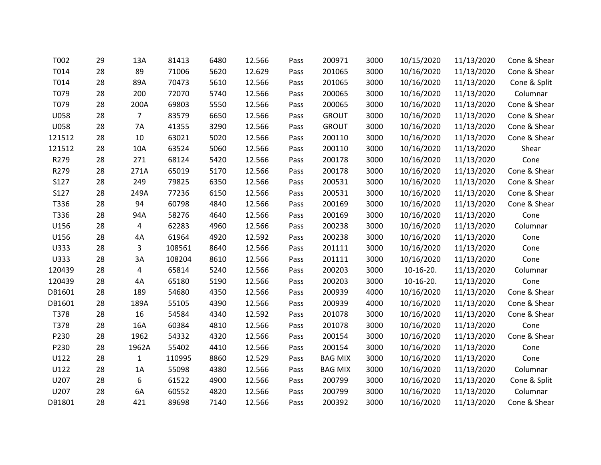| T002   | 29 | 13A            | 81413  | 6480 | 12.566 | Pass | 200971         | 3000 | 10/15/2020 | 11/13/2020 | Cone & Shear |
|--------|----|----------------|--------|------|--------|------|----------------|------|------------|------------|--------------|
| T014   | 28 | 89             | 71006  | 5620 | 12.629 | Pass | 201065         | 3000 | 10/16/2020 | 11/13/2020 | Cone & Shear |
| T014   | 28 | 89A            | 70473  | 5610 | 12.566 | Pass | 201065         | 3000 | 10/16/2020 | 11/13/2020 | Cone & Split |
| T079   | 28 | 200            | 72070  | 5740 | 12.566 | Pass | 200065         | 3000 | 10/16/2020 | 11/13/2020 | Columnar     |
| T079   | 28 | 200A           | 69803  | 5550 | 12.566 | Pass | 200065         | 3000 | 10/16/2020 | 11/13/2020 | Cone & Shear |
| U058   | 28 | $\overline{7}$ | 83579  | 6650 | 12.566 | Pass | <b>GROUT</b>   | 3000 | 10/16/2020 | 11/13/2020 | Cone & Shear |
| U058   | 28 | <b>7A</b>      | 41355  | 3290 | 12.566 | Pass | <b>GROUT</b>   | 3000 | 10/16/2020 | 11/13/2020 | Cone & Shear |
| 121512 | 28 | 10             | 63021  | 5020 | 12.566 | Pass | 200110         | 3000 | 10/16/2020 | 11/13/2020 | Cone & Shear |
| 121512 | 28 | 10A            | 63524  | 5060 | 12.566 | Pass | 200110         | 3000 | 10/16/2020 | 11/13/2020 | Shear        |
| R279   | 28 | 271            | 68124  | 5420 | 12.566 | Pass | 200178         | 3000 | 10/16/2020 | 11/13/2020 | Cone         |
| R279   | 28 | 271A           | 65019  | 5170 | 12.566 | Pass | 200178         | 3000 | 10/16/2020 | 11/13/2020 | Cone & Shear |
| S127   | 28 | 249            | 79825  | 6350 | 12.566 | Pass | 200531         | 3000 | 10/16/2020 | 11/13/2020 | Cone & Shear |
| S127   | 28 | 249A           | 77236  | 6150 | 12.566 | Pass | 200531         | 3000 | 10/16/2020 | 11/13/2020 | Cone & Shear |
| T336   | 28 | 94             | 60798  | 4840 | 12.566 | Pass | 200169         | 3000 | 10/16/2020 | 11/13/2020 | Cone & Shear |
| T336   | 28 | 94A            | 58276  | 4640 | 12.566 | Pass | 200169         | 3000 | 10/16/2020 | 11/13/2020 | Cone         |
| U156   | 28 | 4              | 62283  | 4960 | 12.566 | Pass | 200238         | 3000 | 10/16/2020 | 11/13/2020 | Columnar     |
| U156   | 28 | 4A             | 61964  | 4920 | 12.592 | Pass | 200238         | 3000 | 10/16/2020 | 11/13/2020 | Cone         |
| U333   | 28 | 3              | 108561 | 8640 | 12.566 | Pass | 201111         | 3000 | 10/16/2020 | 11/13/2020 | Cone         |
| U333   | 28 | 3A             | 108204 | 8610 | 12.566 | Pass | 201111         | 3000 | 10/16/2020 | 11/13/2020 | Cone         |
| 120439 | 28 | 4              | 65814  | 5240 | 12.566 | Pass | 200203         | 3000 | 10-16-20.  | 11/13/2020 | Columnar     |
| 120439 | 28 | 4A             | 65180  | 5190 | 12.566 | Pass | 200203         | 3000 | 10-16-20.  | 11/13/2020 | Cone         |
| DB1601 | 28 | 189            | 54680  | 4350 | 12.566 | Pass | 200939         | 4000 | 10/16/2020 | 11/13/2020 | Cone & Shear |
| DB1601 | 28 | 189A           | 55105  | 4390 | 12.566 | Pass | 200939         | 4000 | 10/16/2020 | 11/13/2020 | Cone & Shear |
| T378   | 28 | 16             | 54584  | 4340 | 12.592 | Pass | 201078         | 3000 | 10/16/2020 | 11/13/2020 | Cone & Shear |
| T378   | 28 | 16A            | 60384  | 4810 | 12.566 | Pass | 201078         | 3000 | 10/16/2020 | 11/13/2020 | Cone         |
| P230   | 28 | 1962           | 54332  | 4320 | 12.566 | Pass | 200154         | 3000 | 10/16/2020 | 11/13/2020 | Cone & Shear |
| P230   | 28 | 1962A          | 55402  | 4410 | 12.566 | Pass | 200154         | 3000 | 10/16/2020 | 11/13/2020 | Cone         |
| U122   | 28 | $\mathbf{1}$   | 110995 | 8860 | 12.529 | Pass | <b>BAG MIX</b> | 3000 | 10/16/2020 | 11/13/2020 | Cone         |
| U122   | 28 | 1A             | 55098  | 4380 | 12.566 | Pass | <b>BAG MIX</b> | 3000 | 10/16/2020 | 11/13/2020 | Columnar     |
| U207   | 28 | 6              | 61522  | 4900 | 12.566 | Pass | 200799         | 3000 | 10/16/2020 | 11/13/2020 | Cone & Split |
| U207   | 28 | 6A             | 60552  | 4820 | 12.566 | Pass | 200799         | 3000 | 10/16/2020 | 11/13/2020 | Columnar     |
| DB1801 | 28 | 421            | 89698  | 7140 | 12.566 | Pass | 200392         | 3000 | 10/16/2020 | 11/13/2020 | Cone & Shear |